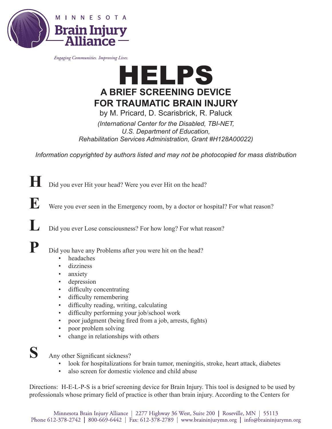

Engaging Communities. Improving Lives.



by M. Pricard, D. Scarisbrick, R. Paluck

*(International Center for the Disabled, TBI-NET, U.S. Department of Education, Rehabilitation Services Administration, Grant #H128A00022)*

*Information copyrighted by authors listed and may not be photocopied for mass distribution*

**H** Did you ever Hit your head? Were you ever Hit on the head?

**E** Were you ever seen in the Emergency room, by a doctor or hospital? For what reason?

**L** Did you ever Lose consciousness? For how long? For what reason?

**P** Did you have any Problems after you were hit on the head?

- headaches
- dizziness
- anxiety
- depression
- difficulty concentrating
- difficulty remembering
- difficulty reading, writing, calculating
- difficulty performing your job/school work
- poor judgment (being fired from a job, arrests, fights)
- poor problem solving
- change in relationships with others



Any other Significant sickness?

- look for hospitalizations for brain tumor, meningitis, stroke, heart attack, diabetes
- also screen for domestic violence and child abuse

Directions: H-E-L-P-S is a brief screening device for Brain Injury. This tool is designed to be used by professionals whose primary field of practice is other than brain injury. According to the Centers for